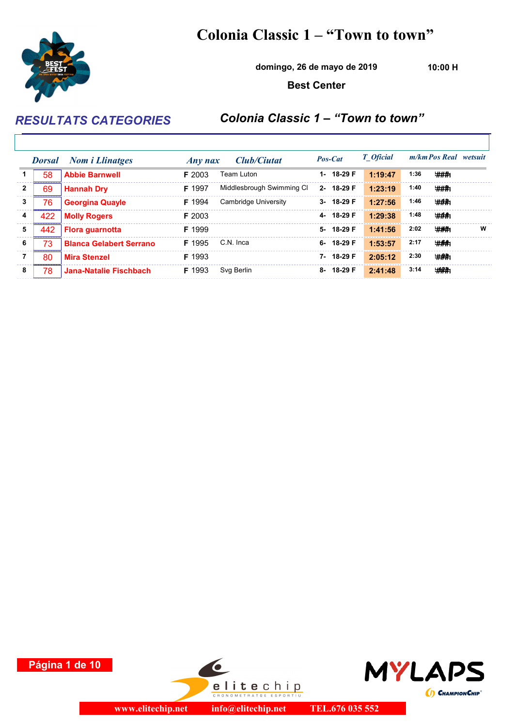## Colonia Classic 1 – "Town to town"



domingo, 26 de mayo de 2019

10:00 H

Best Center

RESULTATS CATEGORIES Colonia Classic 1 – "Town to town"

|   | <b>Dorsal</b> | <b>Nom i Llinatges</b>         | Any nax       | Club/Ciutat               | Pos-Cat         | <b>T</b> Oficial |      | m/km Pos Real wetsuit |
|---|---------------|--------------------------------|---------------|---------------------------|-----------------|------------------|------|-----------------------|
|   | 58            | <b>Abbie Barnwell</b>          | $F$ 2003      | Team Luton                | 1-18-29 F       | 1:19:47          | 1:36 | ###                   |
| 2 | 69            | <b>Hannah Dry</b>              | F 1997        | Middlesbrough Swimming CI | 2-18-29 F       | 1:23:19          | 1:40 | ###                   |
| 3 | 76            | <b>Georgina Quayle</b>         | <b>F</b> 1994 | Cambridge University      | 3-18-29 F       | 1:27:56          | 1:46 | #44:                  |
| 4 | 422           | <b>Molly Rogers</b>            | $F$ 2003      |                           | 4-18-29 F       | 1:29:38          | 1:48 | ###                   |
| 5 | 442           | <b>Flora quarnotta</b>         | F 1999        |                           | 5-18-29 F       | 1:41:56          | 2:02 | ###<br>w              |
| 6 | 73            | <b>Blanca Gelabert Serrano</b> | F 1995        | C.N. Inca                 | $6 - 18 - 29$ F | 1:53:57          | 2:17 | ###                   |
|   | 80            | <b>Mira Stenzel</b>            | <b>F</b> 1993 |                           | 7-18-29 F       | 2:05:12          | 2:30 | # <del>##.</del>      |
| 8 | 78            | Jana-Natalie Fischbach         | F 1993        | Svg Berlin                | 8-18-29 F       | 2:41:48          | 3:14 | <b>###</b>            |





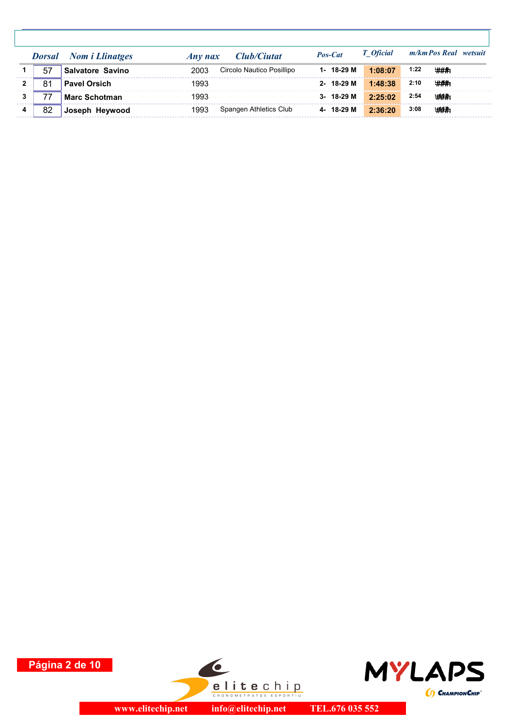|    | <b>Dorsal</b> Nom <i>i</i> Llinatges | Club/Ciutat<br>Any nax            | Pos-Cat   | T Oficial | m/km Pos Real wetsuit |  |
|----|--------------------------------------|-----------------------------------|-----------|-----------|-----------------------|--|
| 57 | Salvatore Savino                     | 2003<br>Circolo Nautico Posillipo | 1-18-29 M | 1:08:07   | 1:22<br>###           |  |
| 81 | <b>Pavel Orsich</b>                  | 1993                              | 2-18-29 M | 1:48:38   | 2:10<br>###           |  |
|    | <b>Marc Schotman</b>                 | 1993                              | 3-18-29 M | 2:25:02   | 2:54<br>###           |  |
| 82 | Joseph Heywood                       | Spangen Athletics Club<br>1993    | 4-18-29 M | 2:36:20   | 3:08<br>###           |  |





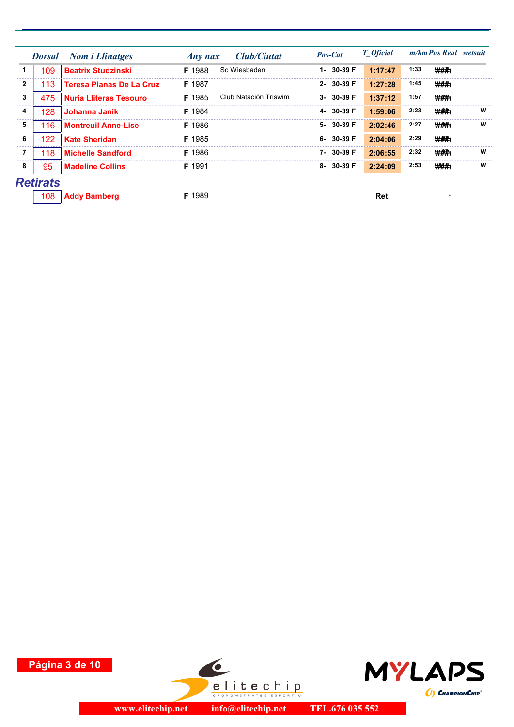|              | <b>Dorsal</b>   | <b>Nom i Llinatges</b>          | <b>Club/Ciutat</b><br>$Any$ nax        | Pos-Cat         | T Oficial |      | m/km Pos Real wetsuit |   |
|--------------|-----------------|---------------------------------|----------------------------------------|-----------------|-----------|------|-----------------------|---|
| 1            | 109             | <b>Beatrix Studzinski</b>       | Sc Wiesbaden<br><b>F</b> 1988          | 1- 30-39 F      | 1:17:47   | 1:33 | ###1                  |   |
| $\mathbf{2}$ | 113             | <b>Teresa Planas De La Cruz</b> | F 1987                                 | 2- 30-39 F      | 1:27:28   | 1:45 | ###                   |   |
| 3            | 475             | <b>Nuria Lliteras Tesouro</b>   | Club Natación Triswim<br><b>F</b> 1985 | $3 - 30 - 39$ F | 1:37:12   | 1:57 | ###;                  |   |
| 4            | 128             | Johanna Janik                   | F 1984                                 | 4-30-39 F       | 1:59:06   | 2:23 | ###;                  | W |
| 5            | 116             | <b>Montreuil Anne-Lise</b>      | F 1986                                 | 5- 30-39 F      | 2:02:46   | 2:27 | # <del>#</del> #      | W |
| 6            | 122             | <b>Kate Sheridan</b>            | F 1985                                 | $6 - 30 - 39$ F | 2:04:06   | 2:29 | $#A +$                |   |
| 7            | 118             | <b>Michelle Sandford</b>        | F 1986                                 | 7-30-39 F       | 2:06:55   | 2:32 | ###:                  | W |
| 8            | 95              | <b>Madeline Collins</b>         | F 1991                                 | 8-30-39 F       | 2:24:09   | 2:53 | <b>###</b>            | W |
|              | <b>Retirats</b> |                                 |                                        |                 |           |      |                       |   |
|              | 108             | <b>Addy Bamberg</b>             | F 1989                                 |                 | Ret.      |      |                       |   |

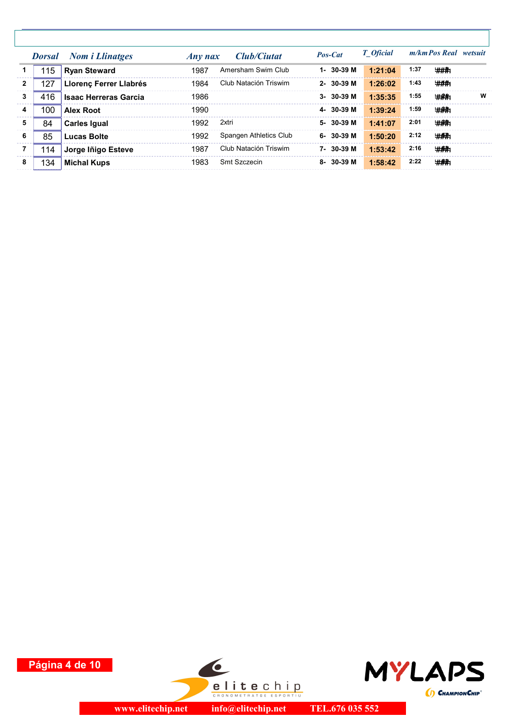|                |     | <b>Dorsal</b> Nom <i>i</i> Llinatges | Any nax | Club/Ciutat            | Pos-Cat         | <b>T</b> Oficial |      | m/km Pos Real wetsuit |   |
|----------------|-----|--------------------------------------|---------|------------------------|-----------------|------------------|------|-----------------------|---|
|                | 115 | <b>Ryan Steward</b>                  | 1987    | Amersham Swim Club     | 1-30-39 M       | 1:21:04          | 1:37 | ###                   |   |
| $\overline{2}$ | 127 | Llorenç Ferrer Llabrés               | 1984    | Club Natación Triswim  | $2 - 30 - 39$ M | 1:26:02          | 1:43 | ###                   |   |
| $\mathbf{3}$   | 416 | <b>Isaac Herreras Garcia</b>         | 1986    |                        | $3 - 30 - 39$ M | 1:35:35          | 1:55 | ###                   | W |
| 4              | 100 | <b>Alex Root</b>                     | 1990    |                        | 4-30-39 M       | 1:39:24          | 1:59 | ###:                  |   |
| 5              | 84  | <b>Carles Igual</b>                  | 1992    | 2xtri                  | 5-30-39 M       | 1:41:07          | 2:01 | ###;                  |   |
| - 6            | 85  | Lucas Bolte                          | 1992    | Spangen Athletics Club | $6 - 30 - 39$ M | 1:50:20          | 2:12 | ###                   |   |
| 7              | 114 | Jorge Iñigo Esteve                   | 1987    | Club Natación Triswim  | 7-30-39 M       | 1:53:42          | 2:16 | ###:                  |   |
| 8              | 134 | <b>Michal Kups</b>                   | 1983    | Smt Szczecin           | $8 - 30 - 39$ M | 1:58:42          | 2:22 | ###                   |   |

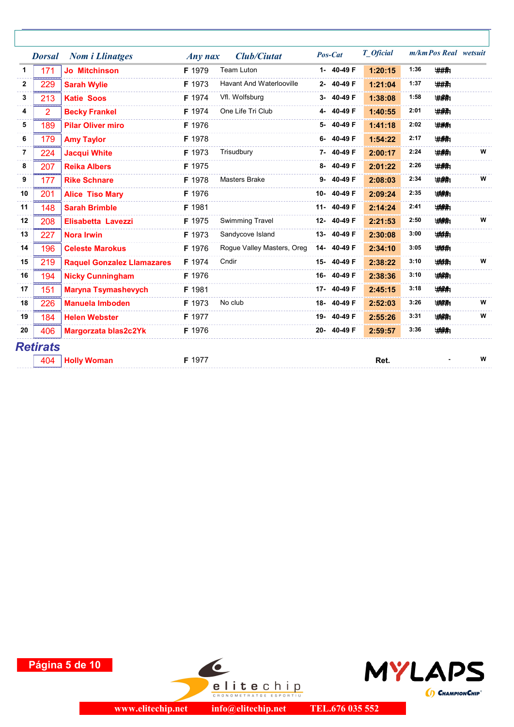|              | <b>Dorsal</b> | <b>Nom i Llinatges</b>            | $Any$ nax | <b>Club/Ciutat</b>              | Pos-Cat    | T Oficial |      | m/km Pos Real wetsuit |   |
|--------------|---------------|-----------------------------------|-----------|---------------------------------|------------|-----------|------|-----------------------|---|
| 1            | 171           | <b>Jo Mitchinson</b>              | F 1979    | <b>Team Luton</b>               | 1- 40-49 F | 1:20:15   | 1:36 | ###                   |   |
| $\mathbf{2}$ | 229           | <b>Sarah Wylie</b>                | F 1973    | <b>Havant And Waterlooville</b> | 2-40-49F   | 1:21:04   | 1:37 | ###                   |   |
| 3            | 213           | <b>Katie Soos</b>                 | F 1974    | Vfl. Wolfsburg                  | 3-40-49F   | 1:38:08   | 1:58 | ###                   |   |
| 4            | 2             | <b>Becky Frankel</b>              | F 1974    | One Life Tri Club               | 4-40-49F   | 1:40:55   | 2:01 | <b>###</b>            |   |
| 5            | 189           | <b>Pilar Oliver miro</b>          | F 1976    |                                 | 5-40-49F   | 1:41:18   | 2:02 | ###                   |   |
| 6            | 179           | <b>Amy Taylor</b>                 | F 1978    |                                 | 6-40-49F   | 1:54:22   | 2:17 | ###                   |   |
| 7            | 224           | <b>Jacqui White</b>               | F 1973    | Trisudbury                      | 7-40-49F   | 2:00:17   | 2:24 | <b>###</b>            | W |
| 8            | 207           | <b>Reika Albers</b>               | F 1975    |                                 | 8-40-49F   | 2:01:22   | 2:26 | ###                   |   |
| 9            | 177           | <b>Rike Schnare</b>               | F 1978    | <b>Masters Brake</b>            | 9-40-49F   | 2:08:03   | 2:34 | $#A +$                | W |
| 10           | 201           | <b>Alice Tiso Mary</b>            | F 1976    |                                 | 10-40-49F  | 2:09:24   | 2:35 | <b>HAA</b>            |   |
| 11           | 148           | <b>Sarah Brimble</b>              | F 1981    |                                 | 11-40-49 F | 2:14:24   | 2:41 | <b>###</b>            |   |
| 12           | 208           | Elisabetta Lavezzi                | F 1975    | <b>Swimming Travel</b>          | 12-40-49F  | 2:21:53   | 2:50 | <b>###</b>            | W |
| 13           | 227           | <b>Nora Irwin</b>                 | F 1973    | Sandycove Island                | 13-40-49 F | 2:30:08   | 3:00 | ###                   |   |
| 14           | 196           | <b>Celeste Marokus</b>            | F 1976    | Rogue Valley Masters, Oreg      | 14-40-49 F | 2:34:10   | 3:05 | <b>###</b>            |   |
| 15           | 219           | <b>Raquel Gonzalez Llamazares</b> | F 1974    | Cndir                           | 15-40-49F  | 2:38:22   | 3:10 | ###                   | W |
| 16           | 194           | <b>Nicky Cunningham</b>           | F 1976    |                                 | 16-40-49 F | 2:38:36   | 3:10 | <b>###</b>            |   |
| 17           | 151           | <b>Maryna Tsymashevych</b>        | F 1981    |                                 | 17-40-49 F | 2:45:15   | 3:18 | <b>###</b>            |   |
| 18           | 226           | <b>Manuela Imboden</b>            | F 1973    | No club                         | 18-40-49F  | 2:52:03   | 3:26 | <b>###</b>            | W |
| 19           | 184           | <b>Helen Webster</b>              | F 1977    |                                 | 19-40-49 F | 2:55:26   | 3:31 | ###                   | W |
| 20           | 406           | Margorzata blas2c2Yk              | F 1976    |                                 | 20-40-49F  | 2:59:57   | 3:36 | <b>###</b>            |   |
|              | Retirats      |                                   |           |                                 |            |           |      |                       |   |
|              | 404           | <b>Holly Woman</b>                | F 1977    |                                 |            | Ret.      |      |                       | W |
|              |               |                                   |           |                                 |            |           |      |                       |   |

Página 5 de 10



 $\bullet$ 

**elitechip** 

info@elitechip.net

TEL.676 035 552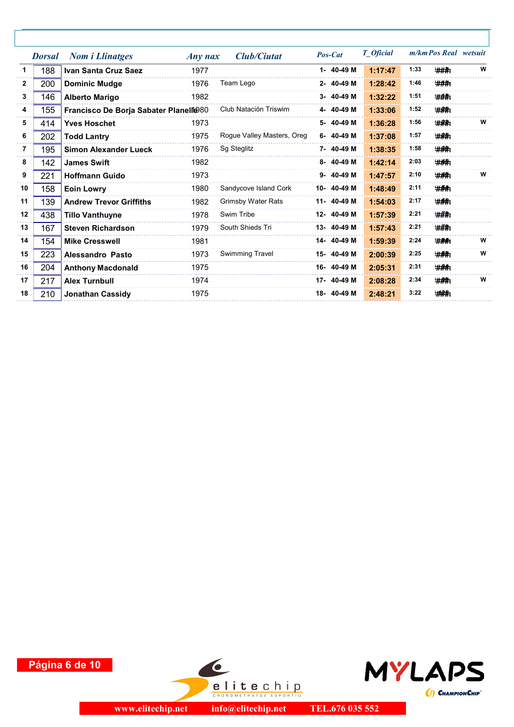|              | <b>Dorsal</b> | <b>Nom i Llinatges</b>                 | $Any$ nax | <b>Club/Ciutat</b>         | Pos-Cat    | T_Oficial |      | m/km Pos Real wetsuit |   |
|--------------|---------------|----------------------------------------|-----------|----------------------------|------------|-----------|------|-----------------------|---|
| 1            | 188           | Ivan Santa Cruz Saez                   | 1977      |                            | 1- 40-49 M | 1:17:47   | 1:33 | ###                   | W |
| $\mathbf{2}$ | 200           | <b>Dominic Mudge</b>                   | 1976      | Team Lego                  | 2-40-49 M  | 1:28:42   | 1:46 | ###1                  |   |
| 3            | 146           | <b>Alberto Marigo</b>                  | 1982      |                            | 3-40-49 M  | 1:32:22   | 1:51 | ###                   |   |
| 4            | 155           | Francisco De Borja Sabater Planelle 80 |           | Club Natación Triswim      | 4-40-49 M  | 1:33:06   | 1:52 | ###                   |   |
| 5            | 414           | <b>Yves Hoschet</b>                    | 1973      |                            | 5-40-49 M  | 1:36:28   | 1:56 | $#A +$                | w |
| 6            | 202           | <b>Todd Lantry</b>                     | 1975      | Rogue Valley Masters, Oreg | 6-40-49 M  | 1:37:08   | 1:57 | ###:                  |   |
| 7            | 195           | <b>Simon Alexander Lueck</b>           | 1976      | Sg Steglitz                | 7-40-49 M  | 1:38:35   | 1:58 | # <del>#</del> #      |   |
| 8            | 142           | <b>James Swift</b>                     | 1982      |                            | 8-40-49 M  | 1:42:14   | 2:03 | ###                   |   |
| 9            | 221           | <b>Hoffmann Guido</b>                  | 1973      |                            | 9-40-49 M  | 1:47:57   | 2:10 | ###                   | w |
| 10           | 158           | <b>Eoin Lowry</b>                      | 1980      | Sandycove Island Cork      | 10-40-49 M | 1:48:49   | 2:11 | ###                   |   |
| 11           | 139           | <b>Andrew Trevor Griffiths</b>         | 1982      | <b>Grimsby Water Rats</b>  | 11-40-49 M | 1:54:03   | 2:17 | <b>###</b>            |   |
| 12           | 438           | <b>Tillo Vanthuyne</b>                 | 1978      | Swim Tribe                 | 12-40-49 M | 1:57:39   | 2:21 | ###                   |   |
| 13           | 167           | <b>Steven Richardson</b>               | 1979      | South Shieds Tri           | 13-40-49 M | 1:57:43   | 2:21 | ###                   |   |
| 14           | 154           | <b>Mike Cresswell</b>                  | 1981      |                            | 14-40-49 M | 1:59:39   | 2:24 | ###                   | W |
| 15           | 223           | Alessandro Pasto                       | 1973      | <b>Swimming Travel</b>     | 15-40-49 M | 2:00:39   | 2:25 | ###                   | W |
| 16           | 204           | <b>Anthony Macdonald</b>               | 1975      |                            | 16-40-49 M | 2:05:31   | 2:31 | $#A +$                |   |
| 17           | 217           | <b>Alex Turnbull</b>                   | 1974      |                            | 17-40-49 M | 2:08:28   | 2:34 | ###                   | W |
| 18           | 210           | <b>Jonathan Cassidy</b>                | 1975      |                            | 18-40-49 M | 2:48:21   | 3:22 | <b>###</b>            |   |
|              |               |                                        |           |                            |            |           |      |                       |   |





 $\bullet$ 

**elitechip**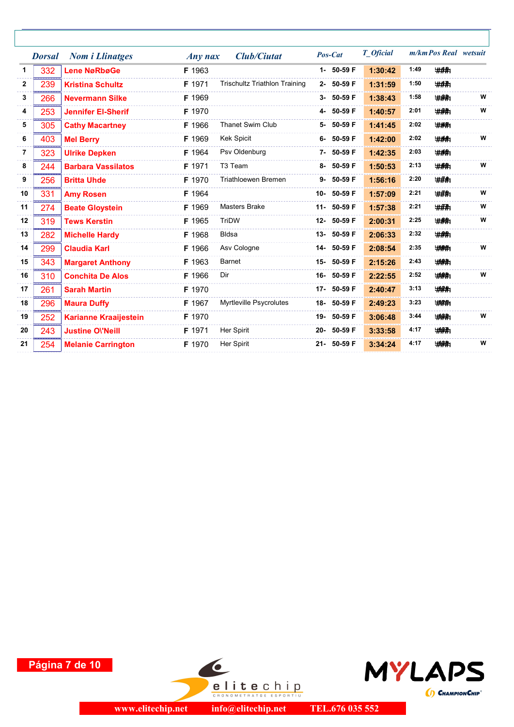|     | <b>Nom i Llinatges</b>       |        | <b>Club/Ciutat</b>                   |           | T_Oficial                                                                                                                                                                                                                                                                                                               |      |             |                       |
|-----|------------------------------|--------|--------------------------------------|-----------|-------------------------------------------------------------------------------------------------------------------------------------------------------------------------------------------------------------------------------------------------------------------------------------------------------------------------|------|-------------|-----------------------|
| 332 | <b>Lene NøRbøGe</b>          | F 1963 |                                      |           | 1:30:42                                                                                                                                                                                                                                                                                                                 | 1:49 | ###         |                       |
| 239 | <b>Kristina Schultz</b>      | F 1971 | <b>Trischultz Triathlon Training</b> |           | 1:31:59                                                                                                                                                                                                                                                                                                                 | 1:50 | ###         |                       |
| 266 | <b>Nevermann Silke</b>       | F 1969 |                                      |           | 1:38:43                                                                                                                                                                                                                                                                                                                 | 1:58 | <b>###</b>  | W                     |
| 253 | <b>Jennifer El-Sherif</b>    | F 1970 |                                      |           | 1:40:57                                                                                                                                                                                                                                                                                                                 | 2:01 | ###         | W                     |
| 305 | <b>Cathy Macartney</b>       | F 1966 | <b>Thanet Swim Club</b>              |           | 1:41:45                                                                                                                                                                                                                                                                                                                 | 2:02 | ###         |                       |
| 403 | <b>Mel Berry</b>             | F 1969 | <b>Kek Spicit</b>                    |           | 1:42:00                                                                                                                                                                                                                                                                                                                 | 2:02 | ###         | W                     |
| 323 | <b>Ulrike Depken</b>         | F 1964 | Psv Oldenburg                        |           | 1:42:35                                                                                                                                                                                                                                                                                                                 | 2:03 | <b>###</b>  |                       |
| 244 | <b>Barbara Vassilatos</b>    | F 1971 | T <sub>3</sub> Team                  |           | 1:50:53                                                                                                                                                                                                                                                                                                                 | 2:13 | ###         | W                     |
| 256 | <b>Britta Uhde</b>           | F 1970 | Triathloewen Bremen                  |           | 1:56:16                                                                                                                                                                                                                                                                                                                 | 2:20 | <b>###</b>  |                       |
| 331 | <b>Amy Rosen</b>             | F 1964 |                                      |           | 1:57:09                                                                                                                                                                                                                                                                                                                 | 2:21 | ###1        | W                     |
| 274 | <b>Beate Gloystein</b>       | F 1969 | <b>Masters Brake</b>                 |           | 1:57:38                                                                                                                                                                                                                                                                                                                 | 2:21 | ###         | W                     |
| 319 | <b>Tews Kerstin</b>          | F 1965 | TriDW                                |           | 2:00:31                                                                                                                                                                                                                                                                                                                 | 2:25 | ###         | W                     |
| 282 | <b>Michelle Hardy</b>        | F 1968 | <b>Bldsa</b>                         |           | 2:06:33                                                                                                                                                                                                                                                                                                                 | 2:32 | <b>#AR</b>  |                       |
| 299 | <b>Claudia Karl</b>          | F 1966 | Asv Cologne                          |           | 2:08:54                                                                                                                                                                                                                                                                                                                 | 2:35 | ###         | W                     |
| 343 | <b>Margaret Anthony</b>      | F 1963 | <b>Barnet</b>                        |           | 2:15:26                                                                                                                                                                                                                                                                                                                 | 2:43 | <b>###</b>  |                       |
| 310 | <b>Conchita De Alos</b>      | F 1966 | Dir                                  |           | 2:22:55                                                                                                                                                                                                                                                                                                                 | 2:52 | <b>####</b> | W                     |
| 261 | <b>Sarah Martin</b>          | F 1970 |                                      |           | 2:40:47                                                                                                                                                                                                                                                                                                                 | 3:13 | <b>###</b>  |                       |
| 296 | <b>Maura Duffy</b>           | F 1967 | Myrtleville Psycrolutes              |           | 2:49:23                                                                                                                                                                                                                                                                                                                 | 3:23 | <b>####</b> |                       |
| 252 | <b>Karianne Kraaijestein</b> | F 1970 |                                      |           | 3:06:48                                                                                                                                                                                                                                                                                                                 | 3:44 | <b>###</b>  | W                     |
| 243 | <b>Justine OVNeill</b>       | F 1971 | Her Spirit                           |           | 3:33:58                                                                                                                                                                                                                                                                                                                 | 4:17 | <b>###</b>  |                       |
| 254 | <b>Melanie Carrington</b>    | F 1970 | Her Spirit                           |           | 3:34:24                                                                                                                                                                                                                                                                                                                 | 4:17 | <b>###</b>  | W                     |
|     | <b>Dorsal</b>                |        |                                      | $Any$ nax | Pos-Cat<br>1- 50-59 F<br>2- 50-59 F<br>3- 50-59 F<br>4- 50-59 F<br>5- 50-59 F<br>6- 50-59 F<br>7- 50-59 F<br>8- 50-59 F<br>9- 50-59 F<br>10- 50-59 F<br>11- 50-59 F<br>12- 50-59 F<br>13- 50-59 F<br>14- 50-59 F<br>15- 50-59 F<br>16- 50-59 F<br>17- 50-59 F<br>18-50-59F<br>19- 50-59 F<br>20- 50-59 F<br>21- 50-59 F |      |             | m/km Pos Real wetsuit |





 $\bullet$ 

**elitechip** 

TEL.676 035 552 info@elitechip.net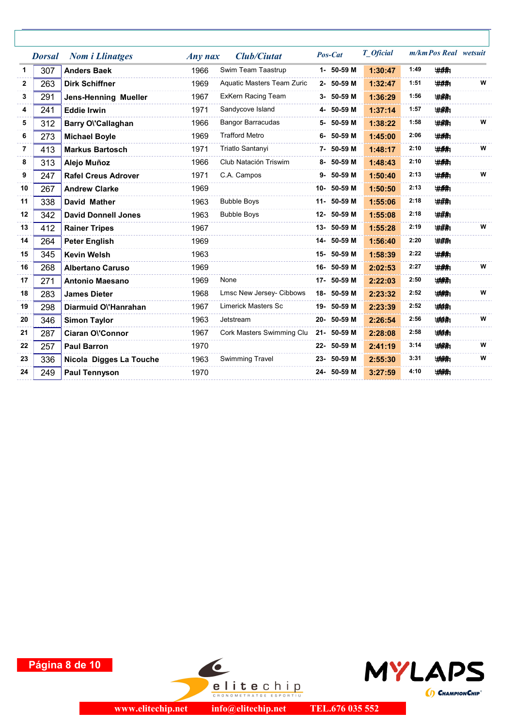|              | <b>Dorsal</b> | <b>Nom i Llinatges</b>      | $Any$ nax | <b>Club/Ciutat</b>         | Pos-Cat     | T_Oficial |      | m/km Pos Real wetsuit |   |
|--------------|---------------|-----------------------------|-----------|----------------------------|-------------|-----------|------|-----------------------|---|
| $\mathbf 1$  | 307           | <b>Anders Baek</b>          | 1966      | Swim Team Taastrup         | 1- 50-59 M  | 1:30:47   | 1:49 | ###                   |   |
| $\mathbf{2}$ | 263           | <b>Dirk Schiffner</b>       | 1969      | Aquatic Masters Team Zuric | 2- 50-59 M  | 1:32:47   | 1:51 | ###                   | W |
| 3            | 291           | <b>Jens-Henning Mueller</b> | 1967      | ExKern Racing Team         | 3- 50-59 M  | 1:36:29   | 1:56 | ###:                  |   |
| 4            | 241           | <b>Eddie Irwin</b>          | 1971      | Sandycove Island           | 4- 50-59 M  | 1:37:14   | 1:57 | ###:                  |   |
| 5            | 312           | Barry O\'Callaghan          | 1966      | <b>Bangor Barracudas</b>   | 5- 50-59 M  | 1:38:22   | 1:58 | ###                   | W |
| 6            | 273           | <b>Michael Boyle</b>        | 1969      | <b>Trafford Metro</b>      | 6- 50-59 M  | 1:45:00   | 2:06 | #A.                   |   |
| 7            | 413           | <b>Markus Bartosch</b>      | 1971      | Triatlo Santanyi           | 7- 50-59 M  | 1:48:17   | 2:10 | <b>###</b>            | W |
| 8            | 313           | Alejo Muñoz                 | 1966      | Club Natación Triswim      | 8- 50-59 M  | 1:48:43   | 2:10 | ###;                  |   |
| 9            | 247           | <b>Rafel Creus Adrover</b>  | 1971      | C.A. Campos                | 9- 50-59 M  | 1:50:40   | 2:13 | ###1                  | W |
| 10           | 267           | <b>Andrew Clarke</b>        | 1969      |                            | 10- 50-59 M | 1:50:50   | 2:13 | ###;                  |   |
| 11           | 338           | <b>David Mather</b>         | 1963      | <b>Bubble Boys</b>         | 11- 50-59 M | 1:55:06   | 2:18 | ###                   |   |
| 12           | 342           | <b>David Donnell Jones</b>  | 1963      | <b>Bubble Boys</b>         | 12- 50-59 M | 1:55:08   | 2:18 | ###1                  |   |
| 13           | 412           | <b>Rainer Tripes</b>        | 1967      |                            | 13- 50-59 M | 1:55:28   | 2:19 | ###                   | W |
| 14           | 264           | <b>Peter English</b>        | 1969      |                            | 14- 50-59 M | 1:56:40   | 2:20 | ###                   |   |
| 15           | 345           | <b>Kevin Welsh</b>          | 1963      |                            | 15- 50-59 M | 1:58:39   | 2:22 | ###                   |   |
| 16           | 268           | <b>Albertano Caruso</b>     | 1969      |                            | 16- 50-59 M | 2:02:53   | 2:27 | <b>#A#</b>            | W |
| 17           | 271           | <b>Antonio Maesano</b>      | 1969      | None                       | 17- 50-59 M | 2:22:03   | 2:50 | <b>###</b>            |   |
| 18           | 283           | <b>James Dieter</b>         | 1968      | Lmsc New Jersey- Cibbows   | 18-50-59 M  | 2:23:32   | 2:52 | <b>#ARA</b>           | W |
| 19           | 298           | Diarmuid Ol'Hanrahan        | 1967      | <b>Limerick Masters Sc</b> | 19- 50-59 M | 2:23:39   | 2:52 | <b>###</b>            |   |
| 20           | 346           | <b>Simon Taylor</b>         | 1963      | Jetstream                  | 20- 50-59 M | 2:26:54   | 2:56 | <b>###</b>            | W |
| 21           | 287           | Ciaran O\'Connor            | 1967      | Cork Masters Swimming Clu  | 21- 50-59 M | 2:28:08   | 2:58 | ###                   |   |
| 22           | 257           | <b>Paul Barron</b>          | 1970      |                            | 22- 50-59 M | 2:41:19   | 3:14 | ###                   | W |
| 23           | 336           | Nicola Digges La Touche     | 1963      | <b>Swimming Travel</b>     | 23- 50-59 M | 2:55:30   | 3:31 | <b>###</b>            | W |
| 24           | 249           | <b>Paul Tennyson</b>        | 1970      |                            | 24- 50-59 M | 3:27:59   | 4:10 | <b>###</b>            |   |
|              |               |                             |           |                            |             |           |      |                       |   |





 $\bullet$ 

**elitechip**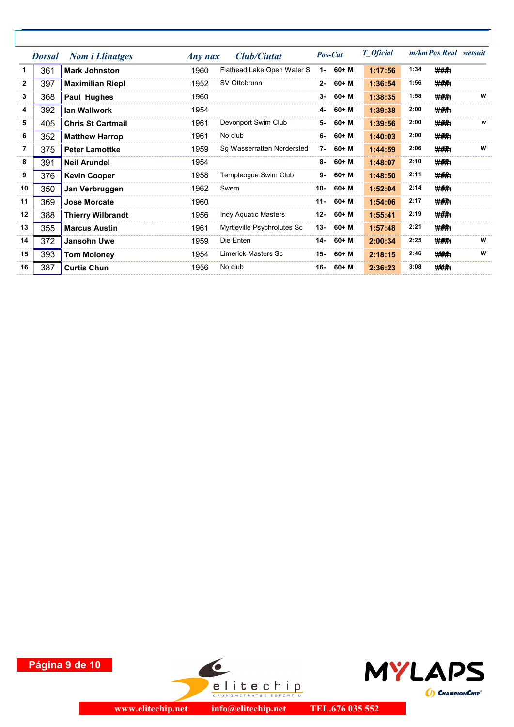|              | <b>Dorsal</b> | <b>Nom i Llinatges</b>   | $Any$ nax | <b>Club/Ciutat</b>          |        | Pos-Cat      | T_Oficial |      | m/km Pos Real wetsuit |   |
|--------------|---------------|--------------------------|-----------|-----------------------------|--------|--------------|-----------|------|-----------------------|---|
| 1.           | 361           | <b>Mark Johnston</b>     | 1960      | Flathead Lake Open Water S  | $1 -$  | 60+ M        | 1:17:56   | 1:34 | ###                   |   |
| $\mathbf{2}$ | 397           | <b>Maximilian Riepl</b>  | 1952      | SV Ottobrunn                |        | $2 - 60 + M$ | 1:36:54   | 1:56 | ###                   |   |
| 3            | 368           | Paul Hughes              | 1960      |                             | $3-$   | 60+ M        | 1:38:35   | 1:58 | # <del>#</del> #      | W |
| 4            | 392           | lan Wallwork             | 1954      |                             | 4-     | 60+ M        | 1:39:38   | 2:00 | # <del>#</del> #      |   |
| 5            | 405           | <b>Chris St Cartmail</b> | 1961      | Devonport Swim Club         | 5-     | 60+ M        | 1:39:56   | 2:00 | ###                   | W |
| 6            | 352           | <b>Matthew Harrop</b>    | 1961      | No club                     |        | $6 - 60 + M$ | 1:40:03   | 2:00 | # <del>##</del>       |   |
| 7            | 375           | <b>Peter Lamottke</b>    | 1959      | Sg Wasserratten Nordersted  |        | $7 - 60 + M$ | 1:44:59   | 2:06 | ###1                  | W |
| 8            | 391           | <b>Neil Arundel</b>      | 1954      |                             |        | $8 - 60 + M$ | 1:48:07   | 2:10 | ###                   |   |
| 9            | 376           | <b>Kevin Cooper</b>      | 1958      | Templeogue Swim Club        |        | $9 - 60 + M$ | 1:48:50   | 2:11 | ###:                  |   |
| 10           | 350           | Jan Verbruggen           | 1962      | Swem                        | $10-$  | $60+M$       | 1:52:04   | 2:14 | <b>###</b>            |   |
| 11           | 369           | <b>Jose Morcate</b>      | 1960      |                             | $11 -$ | 60+ M        | 1:54:06   | 2:17 | ###:                  |   |
| 12           | 388           | <b>Thierry Wilbrandt</b> | 1956      | <b>Indy Aquatic Masters</b> | $12 -$ | $60+M$       | 1:55:41   | 2:19 | ###                   |   |
| 13           | 355           | <b>Marcus Austin</b>     | 1961      | Myrtleville Psychrolutes Sc | $13 -$ | $60+M$       | 1:57:48   | 2:21 | ###:                  |   |
| 14           | 372           | <b>Jansohn Uwe</b>       | 1959      | Die Enten                   | 14-    | 60+ M        | 2:00:34   | 2:25 | ###                   | w |
| 15           | 393           | <b>Tom Moloney</b>       | 1954      | <b>Limerick Masters Sc</b>  | 15-    | 60+ M        | 2:18:15   | 2:46 | <b>#AA</b>            | W |
| 16           | 387           | <b>Curtis Chun</b>       | 1956      | No club                     | 16-    | 60+ M        | 2:36:23   | 3:08 | ###;                  |   |
|              |               |                          |           |                             |        |              |           |      |                       |   |